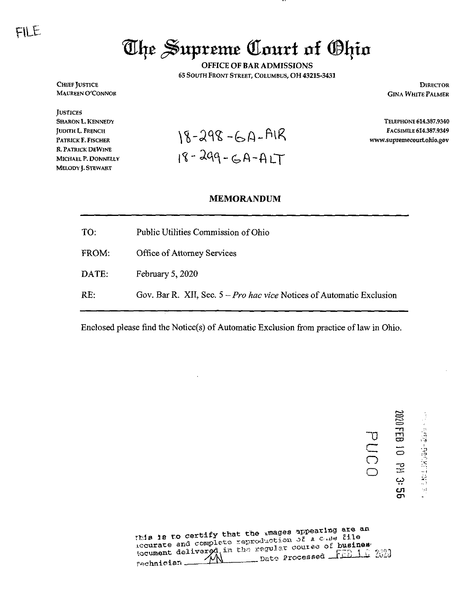The Supreme Court of Ohio

OFFICE OF BAR ADMISSIONS 65 SOUTH FRONT STREET, COLUMBUS, OH 43215-3431

> **DIRECTOR GINA WHITE PALMER**

TELEPHONE 614.387.9340

FACSIMILE 614.387.9349

www.supremecourt.ohio.gov

**CHIEF JUSTICE MAUREEN O'CONNOR** 

**JUSTICES** SHARON L. KENNEDY JUDITH L. FRENCH PATRICK F. FISCHER **R. PATRICK DEWINE** MICHAEL P. DONNELLY MELODY J. STEWART

 $18 - 298 - 64 - 91R$  $18 - 299 - G A - A LT$ 

## **MEMORANDUM**

| TO:          | Public Utilities Commission of Ohio                                     |
|--------------|-------------------------------------------------------------------------|
| FROM:        | Office of Attorney Services                                             |
| <b>DATE:</b> | February $5, 2020$                                                      |
| RE:          | Gov. Bar R. XII, Sec. $5 - Pro$ hac vice Notices of Automatic Exclusion |
|              |                                                                         |

Enclosed please find the Notice(s) of Automatic Exclusion from practice of law in Ohio.

**2020 FEB 10 PM 3: 5:** PUCO

This is to certify that the mages appearing are an accurate and complete reproduction of a case file Date Processed FEB 12 -2023

FILE